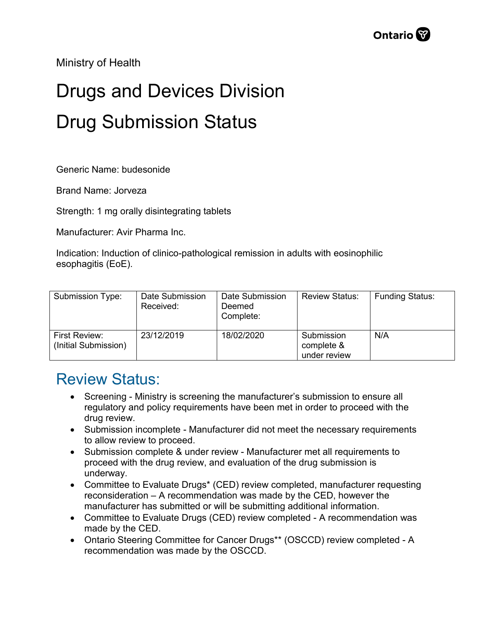Ministry of Health

## Drugs and Devices Division Drug Submission Status

Generic Name: budesonide

Brand Name: Jorveza

Strength: 1 mg orally disintegrating tablets

Manufacturer: Avir Pharma Inc.

Indication: Induction of clinico-pathological remission in adults with eosinophilic esophagitis (EoE).

| Submission Type:                      | Date Submission<br>Received: | Date Submission<br>Deemed<br>Complete: | <b>Review Status:</b>                    | <b>Funding Status:</b> |
|---------------------------------------|------------------------------|----------------------------------------|------------------------------------------|------------------------|
| First Review:<br>(Initial Submission) | 23/12/2019                   | 18/02/2020                             | Submission<br>complete &<br>under review | N/A                    |

## Review Status:

- Screening Ministry is screening the manufacturer's submission to ensure all regulatory and policy requirements have been met in order to proceed with the drug review.
- Submission incomplete Manufacturer did not meet the necessary requirements to allow review to proceed.
- Submission complete & under review Manufacturer met all requirements to proceed with the drug review, and evaluation of the drug submission is underway.
- Committee to Evaluate Drugs\* (CED) review completed, manufacturer requesting reconsideration – A recommendation was made by the CED, however the manufacturer has submitted or will be submitting additional information.
- Committee to Evaluate Drugs (CED) review completed A recommendation was made by the CED.
- Ontario Steering Committee for Cancer Drugs\*\* (OSCCD) review completed A recommendation was made by the OSCCD.